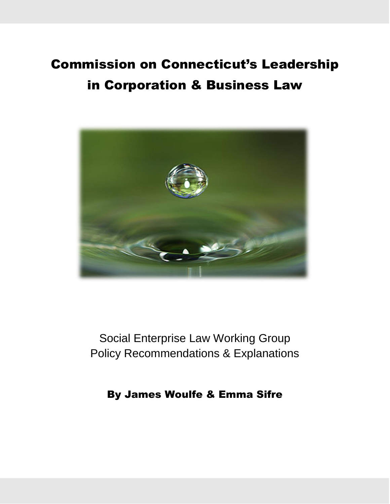# Commission on Connecticut's Leadership in Corporation & Business Law



Social Enterprise Law Working Group Policy Recommendations & Explanations

By James Woulfe & Emma Sifre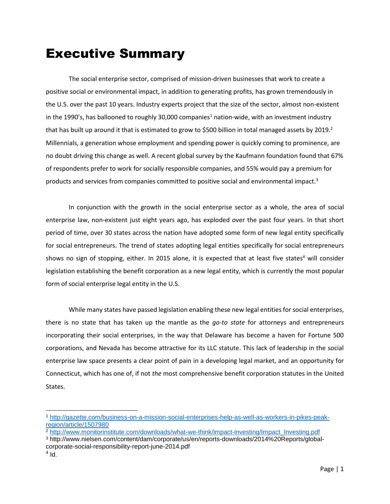# Executive Summary

The social enterprise sector, comprised of mission-driven businesses that work to create a positive social or environmental impact, in addition to generating profits, has grown tremendously in the U.S. over the past 10 years. Industry experts project that the size of the sector, almost non-existent in the 1990's, has ballooned to roughly 30,000 companies<sup>1</sup> nation-wide, with an investment industry that has built up around it that is estimated to grow to \$500 billion in total managed assets by 2019.<sup>2</sup> Millennials, a generation whose employment and spending power is quickly coming to prominence, are no doubt driving this change as well. A recent global survey by the Kaufmann foundation found that 67% of respondents prefer to work for socially responsible companies, and 55% would pay a premium for products and services from companies committed to positive social and environmental impact.<sup>3</sup>

In conjunction with the growth in the social enterprise sector as a whole, the area of social enterprise law, non-existent just eight years ago, has exploded over the past four years. In that short period of time, over 30 states across the nation have adopted some form of new legal entity specifically for social entrepreneurs. The trend of states adopting legal entities specifically for social entrepreneurs shows no sign of stopping, either. In 2015 alone, it is expected that at least five states<sup>4</sup> will consider legislation establishing the benefit corporation as a new legal entity, which is currently the most popular form of social enterprise legal entity in the U.S.

While many states have passed legislation enabling these new legal entities for social enterprises, there is no state that has taken up the mantle as the *go-to state* for attorneys and entrepreneurs incorporating their social enterprises, in the way that Delaware has become a haven for Fortune 500 corporations, and Nevada has become attractive for its LLC statute. This lack of leadership in the social enterprise law space presents a clear point of pain in a developing legal market, and an opportunity for Connecticut, which has one of, if not *the* most comprehensive benefit corporation statutes in the United States.

<sup>2</sup> [http://www.monitorinstitute.com/downloads/what-we-think/impact-investing/Impact\\_Investing.pdf](http://www.monitorinstitute.com/downloads/what-we-think/impact-investing/Impact_Investing.pdf)

 $\overline{a}$ 

<sup>1</sup> [http://gazette.com/business-on-a-mission-social-enterprises-help-as-well-as-workers-in-pikes-peak](http://gazette.com/business-on-a-mission-social-enterprises-help-as-well-as-workers-in-pikes-peak-region/article/1507980)[region/article/1507980](http://gazette.com/business-on-a-mission-social-enterprises-help-as-well-as-workers-in-pikes-peak-region/article/1507980)

<sup>3</sup> http://www.nielsen.com/content/dam/corporate/us/en/reports-downloads/2014%20Reports/globalcorporate-social-responsibility-report-june-2014.pdf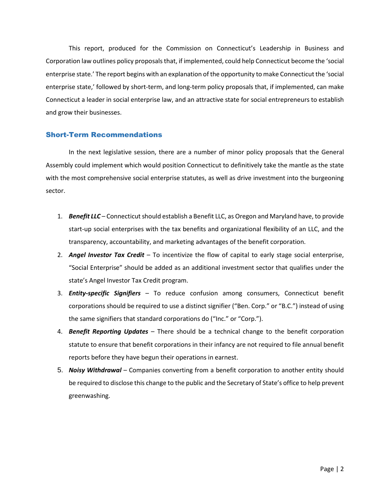This report, produced for the Commission on Connecticut's Leadership in Business and Corporation law outlines policy proposals that, if implemented, could help Connecticut become the 'social enterprise state.' The report begins with an explanation of the opportunity to make Connecticut the 'social enterprise state,' followed by short-term, and long-term policy proposals that, if implemented, can make Connecticut a leader in social enterprise law, and an attractive state for social entrepreneurs to establish and grow their businesses.

### Short-Term Recommendations

In the next legislative session, there are a number of minor policy proposals that the General Assembly could implement which would position Connecticut to definitively take the mantle as the state with the most comprehensive social enterprise statutes, as well as drive investment into the burgeoning sector.

- 1. *Benefit LLC* Connecticut should establish a Benefit LLC, as Oregon and Maryland have, to provide start-up social enterprises with the tax benefits and organizational flexibility of an LLC, and the transparency, accountability, and marketing advantages of the benefit corporation.
- 2. *Angel Investor Tax Credit* To incentivize the flow of capital to early stage social enterprise, "Social Enterprise" should be added as an additional investment sector that qualifies under the state's Angel Investor Tax Credit program.
- 3. *Entity-specific Signifiers* To reduce confusion among consumers, Connecticut benefit corporations should be required to use a distinct signifier ("Ben. Corp." or "B.C.") instead of using the same signifiers that standard corporations do ("Inc." or "Corp.").
- 4. *Benefit Reporting Updates*  There should be a technical change to the benefit corporation statute to ensure that benefit corporations in their infancy are not required to file annual benefit reports before they have begun their operations in earnest.
- 5. *Noisy Withdrawal* Companies converting from a benefit corporation to another entity should be required to disclose this change to the public and the Secretary of State's office to help prevent greenwashing.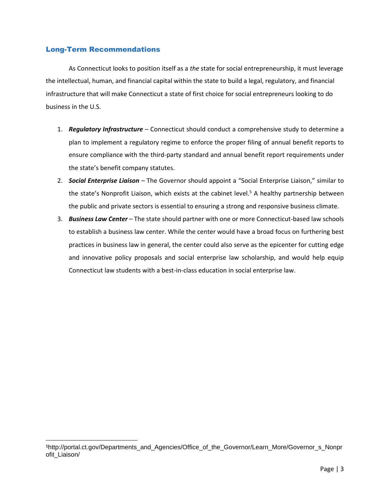# Long-Term Recommendations

As Connecticut looks to position itself as a *the* state for social entrepreneurship, it must leverage the intellectual, human, and financial capital within the state to build a legal, regulatory, and financial infrastructure that will make Connecticut a state of first choice for social entrepreneurs looking to do business in the U.S.

- 1. *Regulatory Infrastructure* Connecticut should conduct a comprehensive study to determine a plan to implement a regulatory regime to enforce the proper filing of annual benefit reports to ensure compliance with the third-party standard and annual benefit report requirements under the state's benefit company statutes.
- 2. *Social Enterprise Liaison –* The Governor should appoint a "Social Enterprise Liaison," similar to the state's Nonprofit Liaison, which exists at the cabinet level.<sup>5</sup> A healthy partnership between the public and private sectors is essential to ensuring a strong and responsive business climate.
- 3. *Business Law Center* The state should partner with one or more Connecticut-based law schools to establish a business law center. While the center would have a broad focus on furthering best practices in business law in general, the center could also serve as the epicenter for cutting edge and innovative policy proposals and social enterprise law scholarship, and would help equip Connecticut law students with a best-in-class education in social enterprise law.

<sup>5</sup>http://portal.ct.gov/Departments\_and\_Agencies/Office\_of\_the\_Governor/Learn\_More/Governor\_s\_Nonpr ofit\_Liaison/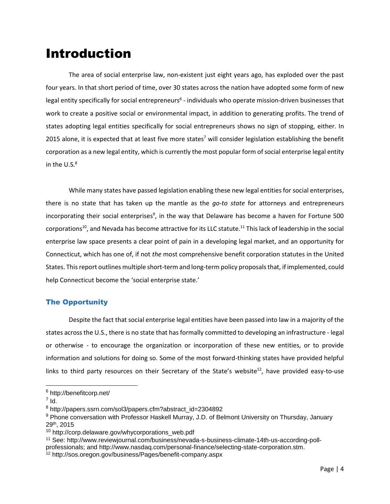# Introduction

The area of social enterprise law, non-existent just eight years ago, has exploded over the past four years. In that short period of time, over 30 states across the nation have adopted some form of new legal entity specifically for social entrepreneurs<sup>6</sup> - individuals who operate mission-driven businesses that work to create a positive social or environmental impact, in addition to generating profits. The trend of states adopting legal entities specifically for social entrepreneurs shows no sign of stopping, either. In 2015 alone, it is expected that at least five more states<sup>7</sup> will consider legislation establishing the benefit corporation as a new legal entity, which is currently the most popular form of social enterprise legal entity in the  $U.S.^8$ 

While many states have passed legislation enabling these new legal entities for social enterprises, there is no state that has taken up the mantle as the *go-to state* for attorneys and entrepreneurs incorporating their social enterprises<sup>9</sup>, in the way that Delaware has become a haven for Fortune 500 corporations<sup>10</sup>, and Nevada has become attractive for its LLC statute.<sup>11</sup> This lack of leadership in the social enterprise law space presents a clear point of pain in a developing legal market, and an opportunity for Connecticut, which has one of, if not *the* most comprehensive benefit corporation statutes in the United States. This report outlines multiple short-term and long-term policy proposals that, if implemented, could help Connecticut become the 'social enterprise state.'

# The Opportunity

Despite the fact that social enterprise legal entities have been passed into law in a majority of the states across the U.S., there is no state that has formally committed to developing an infrastructure - legal or otherwise - to encourage the organization or incorporation of these new entities, or to provide information and solutions for doing so. Some of the most forward-thinking states have provided helpful links to third party resources on their Secretary of the State's website<sup>12</sup>, have provided easy-to-use

<sup>6</sup> http://benefitcorp.net/

 $^7$  Id.

<sup>8</sup> http://papers.ssrn.com/sol3/papers.cfm?abstract\_id=2304892

<sup>9</sup> Phone conversation with Professor Haskell Murray, J.D. of Belmont University on Thursday, January 29th, 2015

<sup>&</sup>lt;sup>10</sup> http://corp.delaware.gov/whycorporations\_web.pdf

<sup>11</sup> See: http://www.reviewjournal.com/business/nevada-s-business-climate-14th-us-according-pollprofessionals; and http://www.nasdaq.com/personal-finance/selecting-state-corporation.stm.

<sup>12</sup> http://sos.oregon.gov/business/Pages/benefit-company.aspx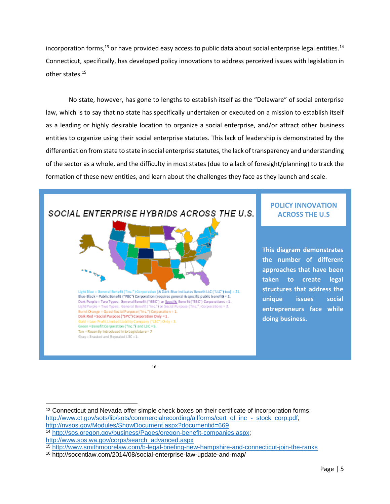incorporation forms,<sup>13</sup> or have provided easy access to public data about social enterprise legal entities.<sup>14</sup> Connecticut, specifically, has developed policy innovations to address perceived issues with legislation in other states.<sup>15</sup>

No state, however, has gone to lengths to establish itself as the "Delaware" of social enterprise law, which is to say that no state has specifically undertaken or executed on a mission to establish itself as a leading or highly desirable location to organize a social enterprise, and/or attract other business entities to organize using their social enterprise statutes. This lack of leadership is demonstrated by the differentiation from state to state in social enterprise statutes, the lack of transparency and understanding of the sector as a whole, and the difficulty in most states (due to a lack of foresight/planning) to track the formation of these new entities, and learn about the challenges they face as they launch and scale.



16

<sup>&</sup>lt;sup>13</sup> Connecticut and Nevada offer simple check boxes on their certificate of incorporation forms: [http://www.ct.gov/sots/lib/sots/commercialrecording/allforms/cert\\_of\\_inc\\_-\\_stock\\_corp.pdf;](http://www.ct.gov/sots/lib/sots/commercialrecording/allforms/cert_of_inc_-_stock_corp.pdf) [http://nvsos.gov/Modules/ShowDocument.aspx?documentid=669.](http://nvsos.gov/Modules/ShowDocument.aspx?documentid=669)

<sup>14</sup> [http://sos.oregon.gov/business/Pages/oregon-benefit-companies.aspx;](http://sos.oregon.gov/business/Pages/oregon-benefit-companies.aspx)

[http://www.sos.wa.gov/corps/search\\_advanced.aspx](http://www.sos.wa.gov/corps/search_advanced.aspx)

<sup>15</sup> <http://www.smithmoorelaw.com/b-legal-briefing-new-hampshire-and-connecticut-join-the-ranks>

<sup>16</sup> http://socentlaw.com/2014/08/social-enterprise-law-update-and-map/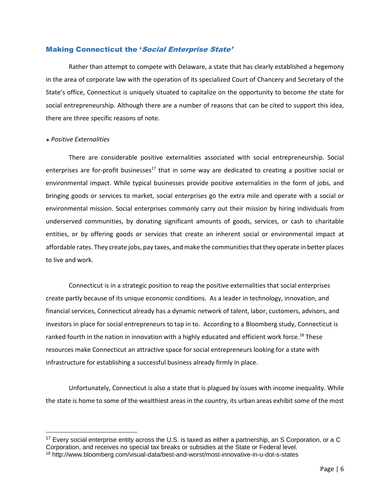### Making Connecticut the 'Social Enterprise State'

Rather than attempt to compete with Delaware, a state that has clearly established a hegemony in the area of corporate law with the operation of its specialized Court of Chancery and Secretary of the State's office, Connecticut is uniquely situated to capitalize on the opportunity to become *the* state for social entrepreneurship. Although there are a number of reasons that can be cited to support this idea, there are three specific reasons of note.

#### ๏ *Positive Externalities*

 $\overline{a}$ 

There are considerable positive externalities associated with social entrepreneurship. Social enterprises are for-profit businesses<sup>17</sup> that in some way are dedicated to creating a positive social or environmental impact. While typical businesses provide positive externalities in the form of jobs, and bringing goods or services to market, social enterprises go the extra mile and operate with a social or environmental mission. Social enterprises commonly carry out their mission by hiring individuals from underserved communities, by donating significant amounts of goods, services, or cash to charitable entities, or by offering goods or services that create an inherent social or environmental impact at affordable rates. They create jobs, pay taxes, and make the communities that they operate in better places to live and work.

Connecticut is in a strategic position to reap the positive externalities that social enterprises create partly because of its unique economic conditions. As a leader in technology, innovation, and financial services, Connecticut already has a dynamic network of talent, labor, customers, advisors, and investors in place for social entrepreneurs to tap in to. According to a Bloomberg study, Connecticut is ranked fourth in the nation in innovation with a highly educated and efficient work force.<sup>18</sup> These resources make Connecticut an attractive space for social entrepreneurs looking for a state with infrastructure for establishing a successful business already firmly in place.

Unfortunately, Connecticut is also a state that is plagued by issues with income inequality. While the state is home to some of the wealthiest areas in the country, its urban areas exhibit some of the most

 $17$  Every social enterprise entity across the U.S. is taxed as either a partnership, an S Corporation, or a C Corporation, and receives no special tax breaks or subsidies at the State or Federal level.

<sup>18</sup> http://www.bloomberg.com/visual-data/best-and-worst/most-innovative-in-u-dot-s-states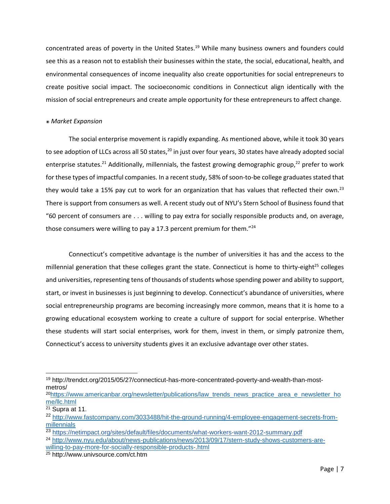concentrated areas of poverty in the United States.<sup>19</sup> While many business owners and founders could see this as a reason not to establish their businesses within the state, the social, educational, health, and environmental consequences of income inequality also create opportunities for social entrepreneurs to create positive social impact. The socioeconomic conditions in Connecticut align identically with the mission of social entrepreneurs and create ample opportunity for these entrepreneurs to affect change.

#### ๏ *Market Expansion*

The social enterprise movement is rapidly expanding. As mentioned above, while it took 30 years to see adoption of LLCs across all 50 states,<sup>20</sup> in just over four years, 30 states have already adopted social enterprise statutes.<sup>21</sup> Additionally, millennials, the fastest growing demographic group,<sup>22</sup> prefer to work for these types of impactful companies. In a recent study, 58% of soon-to-be college graduates stated that they would take a 15% pay cut to work for an organization that has values that reflected their own.<sup>23</sup> There is support from consumers as well. A recent study out of NYU's Stern School of Business found that "60 percent of consumers are . . . willing to pay extra for socially responsible products and, on average, those consumers were willing to pay a 17.3 percent premium for them."<sup>24</sup>

Connecticut's competitive advantage is the number of universities it has and the access to the millennial generation that these colleges grant the state. Connecticut is home to thirty-eight<sup>25</sup> colleges and universities, representing tens of thousands of students whose spending power and ability to support, start, or invest in businesses is just beginning to develop. Connecticut's abundance of universities, where social entrepreneurship programs are becoming increasingly more common, means that it is home to a growing educational ecosystem working to create a culture of support for social enterprise. Whether these students will start social enterprises, work for them, invest in them, or simply patronize them, Connecticut's access to university students gives it an exclusive advantage over other states.

<sup>19</sup> http://trendct.org/2015/05/27/connecticut-has-more-concentrated-poverty-and-wealth-than-mostmetros/

<sup>&</sup>lt;sup>20</sup>[https://www.americanbar.org/newsletter/publications/law\\_trends\\_news\\_practice\\_area\\_e\\_newsletter\\_ho](https://www.americanbar.org/newsletter/publications/law_trends_news_practice_area_e_newsletter_home/llc.html) [me/llc.html](https://www.americanbar.org/newsletter/publications/law_trends_news_practice_area_e_newsletter_home/llc.html)

<sup>21</sup> Supra at 11.

<sup>22</sup> [http://www.fastcompany.com/3033488/hit-the-ground-running/4-employee-engagement-secrets-from](http://www.fastcompany.com/3033488/hit-the-ground-running/4-employee-engagement-secrets-from-millennials)[millennials](http://www.fastcompany.com/3033488/hit-the-ground-running/4-employee-engagement-secrets-from-millennials)

<sup>23</sup> <https://netimpact.org/sites/default/files/documents/what-workers-want-2012-summary.pdf>

<sup>24</sup> [http://www.nyu.edu/about/news-publications/news/2013/09/17/stern-study-shows-customers-are](http://www.nyu.edu/about/news-publications/news/2013/09/17/stern-study-shows-customers-are-willing-to-pay-more-for-socially-responsible-products-.html)[willing-to-pay-more-for-socially-responsible-products-.html](http://www.nyu.edu/about/news-publications/news/2013/09/17/stern-study-shows-customers-are-willing-to-pay-more-for-socially-responsible-products-.html)

<sup>25</sup> http://www.univsource.com/ct.htm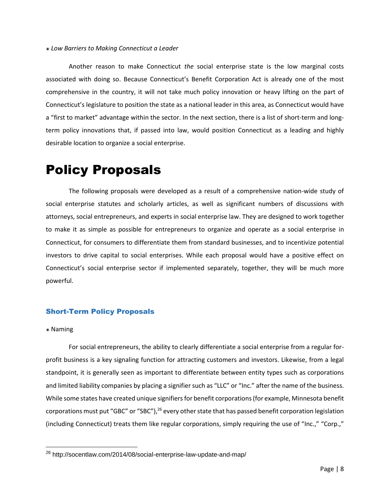#### ๏ *Low Barriers to Making Connecticut a Leader*

Another reason to make Connecticut *the* social enterprise state is the low marginal costs associated with doing so. Because Connecticut's Benefit Corporation Act is already one of the most comprehensive in the country, it will not take much policy innovation or heavy lifting on the part of Connecticut's legislature to position the state as a national leader in this area, as Connecticut would have a "first to market" advantage within the sector. In the next section, there is a list of short-term and longterm policy innovations that, if passed into law, would position Connecticut as a leading and highly desirable location to organize a social enterprise.

# Policy Proposals

The following proposals were developed as a result of a comprehensive nation-wide study of social enterprise statutes and scholarly articles, as well as significant numbers of discussions with attorneys, social entrepreneurs, and experts in social enterprise law. They are designed to work together to make it as simple as possible for entrepreneurs to organize and operate as a social enterprise in Connecticut, for consumers to differentiate them from standard businesses, and to incentivize potential investors to drive capital to social enterprises. While each proposal would have a positive effect on Connecticut's social enterprise sector if implemented separately, together, they will be much more powerful.

### Short-Term Policy Proposals

#### ๏ Naming

For social entrepreneurs, the ability to clearly differentiate a social enterprise from a regular forprofit business is a key signaling function for attracting customers and investors. Likewise, from a legal standpoint, it is generally seen as important to differentiate between entity types such as corporations and limited liability companies by placing a signifier such as "LLC" or "Inc." after the name of the business. While some states have created unique signifiers for benefit corporations(for example, Minnesota benefit corporations must put "GBC" or "SBC"),<sup>26</sup> every other state that has passed benefit corporation legislation (including Connecticut) treats them like regular corporations, simply requiring the use of "Inc.," "Corp.,"

<sup>26</sup> http://socentlaw.com/2014/08/social-enterprise-law-update-and-map/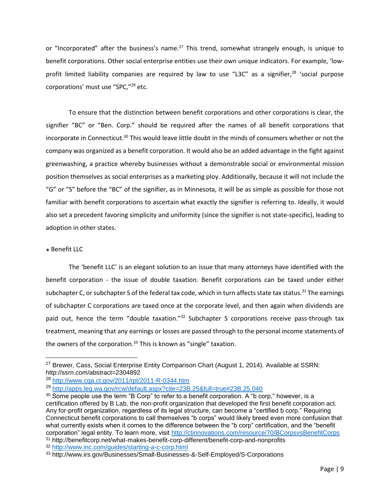or "Incorporated" after the business's name.<sup>27</sup> This trend, somewhat strangely enough, is unique to benefit corporations. Other social enterprise entities use their own unique indicators. For example, 'lowprofit limited liability companies are required by law to use "L3C" as a signifier,<sup>28</sup> 'social purpose corporations' must use "SPC,"<sup>29</sup> etc.

To ensure that the distinction between benefit corporations and other corporations is clear, the signifier "BC" or "Ben. Corp." should be required after the names of all benefit corporations that incorporate in Connecticut.<sup>30</sup> This would leave little doubt in the minds of consumers whether or not the company was organized as a benefit corporation. It would also be an added advantage in the fight against greenwashing, a practice whereby businesses without a demonstrable social or environmental mission position themselves as social enterprises as a marketing ploy. Additionally, because it will not include the "G" or "S" before the "BC" of the signifier, as in Minnesota, it will be as simple as possible for those not familiar with benefit corporations to ascertain what exactly the signifier is referring to. Ideally, it would also set a precedent favoring simplicity and uniformity (since the signifier is not state-specific), leading to adoption in other states.

#### ๏ Benefit LLC

 $\overline{a}$ 

The 'benefit LLC' is an elegant solution to an issue that many attorneys have identified with the benefit corporation - the issue of double taxation. Benefit corporations can be taxed under either subchapter C, or subchapter S of the federal tax code, which in turn affects state tax status.<sup>31</sup> The earnings of subchapter C corporations are taxed once at the corporate level, and then again when dividends are paid out, hence the term "double taxation."<sup>32</sup> Subchapter S corporations receive pass-through tax treatment, meaning that any earnings or losses are passed through to the personal income statements of the owners of the corporation. $33$  This is known as "single" taxation.

<sup>&</sup>lt;sup>27</sup> Brewer, Cass, Social Enterprise Entity Comparison Chart (August 1, 2014). Available at SSRN: http://ssrn.com/abstract=2304892

<sup>28</sup> <http://www.cga.ct.gov/2011/rpt/2011-R-0344.htm>

<sup>29</sup> <http://apps.leg.wa.gov/rcw/default.aspx?cite=23B.25&full=true#23B.25.040>

<sup>&</sup>lt;sup>30</sup> Some people use the term "B Corp" to refer to a benefit corporation. A "b corp," however, is a certification offered by B Lab, the non-profit organization that developed the first benefit corporation act. Any for-profit organization, regardless of its legal structure, can become a "certified b corp." Requiring Connecticut benefit corporations to call themselves "b corps" would likely breed even more confusion that what currently exists when it comes to the difference between the "b corp" certification, and the "benefit corporation" legal entity. To learn more, visit<http://ctinnovations.com/resource/70/BCorpsvsBenefitCorps> <sup>31</sup> http://benefitcorp.net/what-makes-benefit-corp-different/benefit-corp-and-nonprofits

<sup>32</sup> <http://www.inc.com/guides/starting-a-c-corp.html>

<sup>33</sup> http://www.irs.gov/Businesses/Small-Businesses-&-Self-Employed/S-Corporations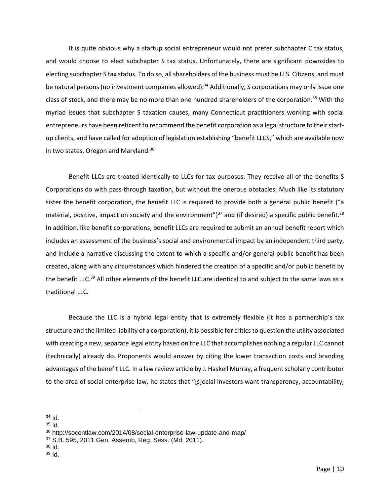It is quite obvious why a startup social entrepreneur would not prefer subchapter C tax status, and would choose to elect subchapter S tax status. Unfortunately, there are significant downsides to electing subchapter S tax status. To do so, all shareholders of the business must be U.S. Citizens, and must be natural persons (no investment companies allowed).<sup>34</sup> Additionally, S corporations may only issue one class of stock, and there may be no more than one hundred shareholders of the corporation.<sup>35</sup> With the myriad issues that subchapter S taxation causes, many Connecticut practitioners working with social entrepreneurs have been reticent to recommend the benefit corporation as a legal structure to their startup clients, and have called for adoption of legislation establishing "benefit LLCS," which are available now in two states, Oregon and Maryland.<sup>36</sup>

Benefit LLCs are treated identically to LLCs for tax purposes. They receive all of the benefits S Corporations do with pass-through taxation, but without the onerous obstacles. Much like its statutory sister the benefit corporation, the benefit LLC is required to provide both a general public benefit ("a material, positive, impact on society and the environment")<sup>37</sup> and (if desired) a specific public benefit.<sup>38</sup> In addition, like benefit corporations, benefit LLCs are required to submit an annual benefit report which includes an assessment of the business's social and environmental impact by an independent third party, and include a narrative discussing the extent to which a specific and/or general public benefit has been created, along with any circumstances which hindered the creation of a specific and/or public benefit by the benefit LLC.<sup>39</sup> All other elements of the benefit LLC are identical to and subject to the same laws as a traditional LLC.

Because the LLC is a hybrid legal entity that is extremely flexible (it has a partnership's tax structure and the limited liability of a corporation), it is possible for critics to question the utility associated with creating a new, separate legal entity based on the LLC that accomplishes nothing a regular LLC cannot (technically) already do. Proponents would answer by citing the lower transaction costs and branding advantages of the benefit LLC. In a law review article by J. Haskell Murray, a frequent scholarly contributor to the area of social enterprise law, he states that "[s]ocial investors want transparency, accountability,

 $35$   $\text{Id}$ .

 $\overline{a}$ <sup>34</sup> Id.

<sup>36</sup> http://socentlaw.com/2014/08/social-enterprise-law-update-and-map/

<sup>37</sup> S.B. 595, 2011 Gen. Assemb, Reg. Sess. (Md. 2011).

 $38$  Id.

 $39$  Id.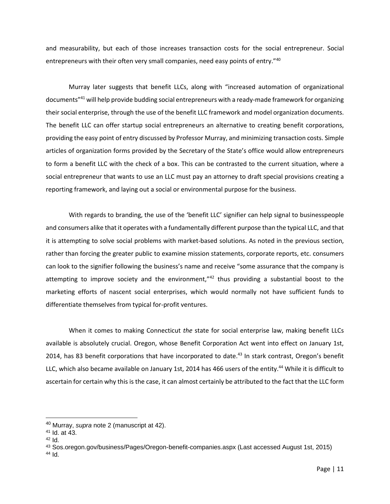and measurability, but each of those increases transaction costs for the social entrepreneur. Social entrepreneurs with their often very small companies, need easy points of entry."40

Murray later suggests that benefit LLCs, along with "increased automation of organizational documents"<sup>41</sup> will help provide budding social entrepreneurs with a ready-made framework for organizing their social enterprise, through the use of the benefit LLC framework and model organization documents. The benefit LLC can offer startup social entrepreneurs an alternative to creating benefit corporations, providing the easy point of entry discussed by Professor Murray, and minimizing transaction costs. Simple articles of organization forms provided by the Secretary of the State's office would allow entrepreneurs to form a benefit LLC with the check of a box. This can be contrasted to the current situation, where a social entrepreneur that wants to use an LLC must pay an attorney to draft special provisions creating a reporting framework, and laying out a social or environmental purpose for the business.

With regards to branding, the use of the 'benefit LLC' signifier can help signal to businesspeople and consumers alike that it operates with a fundamentally different purpose than the typical LLC, and that it is attempting to solve social problems with market-based solutions. As noted in the previous section, rather than forcing the greater public to examine mission statements, corporate reports, etc. consumers can look to the signifier following the business's name and receive "some assurance that the company is attempting to improve society and the environment,"<sup>42</sup> thus providing a substantial boost to the marketing efforts of nascent social enterprises, which would normally not have sufficient funds to differentiate themselves from typical for-profit ventures.

When it comes to making Connecticut *the* state for social enterprise law, making benefit LLCs available is absolutely crucial. Oregon, whose Benefit Corporation Act went into effect on January 1st, 2014, has 83 benefit corporations that have incorporated to date.<sup>43</sup> In stark contrast, Oregon's benefit LLC, which also became available on January 1st, 2014 has 466 users of the entity.<sup>44</sup> While it is difficult to ascertain for certain why this is the case, it can almost certainly be attributed to the fact that the LLC form

<sup>40</sup> Murray, *supra* note 2 (manuscript at 42).

<sup>41</sup> Id. at 43.

 $42$  Id.

<sup>43</sup> Sos.oregon.gov/business/Pages/Oregon-benefit-companies.aspx (Last accessed August 1st, 2015) <sup>44</sup> Id.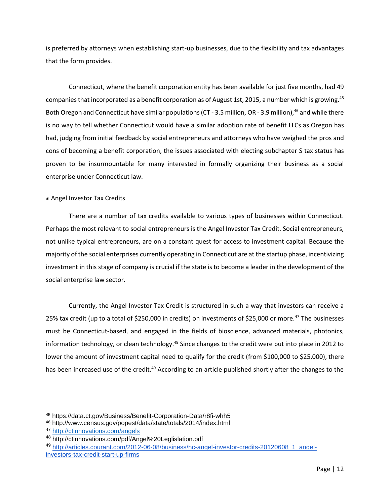is preferred by attorneys when establishing start-up businesses, due to the flexibility and tax advantages that the form provides.

Connecticut, where the benefit corporation entity has been available for just five months, had 49 companies that incorporated as a benefit corporation as of August 1st, 2015, a number which is growing.<sup>45</sup> Both Oregon and Connecticut have similar populations (CT - 3.5 million, OR - 3.9 million),<sup>46</sup> and while there is no way to tell whether Connecticut would have a similar adoption rate of benefit LLCs as Oregon has had, judging from initial feedback by social entrepreneurs and attorneys who have weighed the pros and cons of becoming a benefit corporation, the issues associated with electing subchapter S tax status has proven to be insurmountable for many interested in formally organizing their business as a social enterprise under Connecticut law.

### ๏ Angel Investor Tax Credits

There are a number of tax credits available to various types of businesses within Connecticut. Perhaps the most relevant to social entrepreneurs is the Angel Investor Tax Credit. Social entrepreneurs, not unlike typical entrepreneurs, are on a constant quest for access to investment capital. Because the majority of the social enterprises currently operating in Connecticut are at the startup phase, incentivizing investment in this stage of company is crucial if the state is to become a leader in the development of the social enterprise law sector.

Currently, the Angel Investor Tax Credit is structured in such a way that investors can receive a 25% tax credit (up to a total of \$250,000 in credits) on investments of \$25,000 or more.<sup>47</sup> The businesses must be Connecticut-based, and engaged in the fields of bioscience, advanced materials, photonics, information technology, or clean technology.<sup>48</sup> Since changes to the credit were put into place in 2012 to lower the amount of investment capital need to qualify for the credit (from \$100,000 to \$25,000), there has been increased use of the credit.<sup>49</sup> According to an article published shortly after the changes to the

 $\overline{a}$ 

<sup>45</sup> https://data.ct.gov/Business/Benefit-Corporation-Data/r8fi-whh5

<sup>46</sup> http://www.census.gov/popest/data/state/totals/2014/index.html

<sup>47</sup> <http://ctinnovations.com/angels>

<sup>48</sup> http://ctinnovations.com/pdf/Angel%20Leglislation.pdf

<sup>49</sup> [http://articles.courant.com/2012-06-08/business/hc-angel-investor-credits-20120608\\_1\\_angel](http://articles.courant.com/2012-06-08/business/hc-angel-investor-credits-20120608_1_angel-investors-tax-credit-start-up-firms)[investors-tax-credit-start-up-firms](http://articles.courant.com/2012-06-08/business/hc-angel-investor-credits-20120608_1_angel-investors-tax-credit-start-up-firms)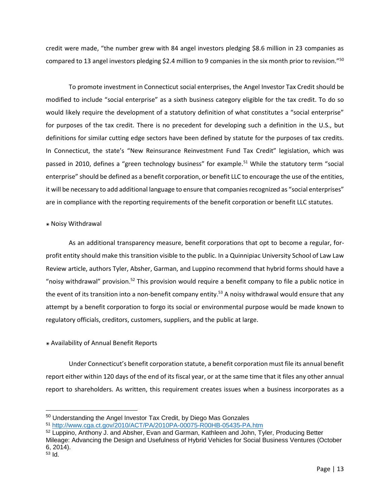credit were made, "the number grew with 84 angel investors pledging \$8.6 million in 23 companies as compared to 13 angel investors pledging \$2.4 million to 9 companies in the six month prior to revision."<sup>50</sup>

To promote investment in Connecticut social enterprises, the Angel Investor Tax Credit should be modified to include "social enterprise" as a sixth business category eligible for the tax credit. To do so would likely require the development of a statutory definition of what constitutes a "social enterprise" for purposes of the tax credit. There is no precedent for developing such a definition in the U.S., but definitions for similar cutting edge sectors have been defined by statute for the purposes of tax credits. In Connecticut, the state's "New Reinsurance Reinvestment Fund Tax Credit" legislation, which was passed in 2010, defines a "green technology business" for example.<sup>51</sup> While the statutory term "social enterprise" should be defined as a benefit corporation, or benefit LLC to encourage the use of the entities, it will be necessary to add additional language to ensure that companies recognized as "social enterprises" are in compliance with the reporting requirements of the benefit corporation or benefit LLC statutes.

#### ๏ Noisy Withdrawal

 $\overline{a}$ 

As an additional transparency measure, benefit corporations that opt to become a regular, forprofit entity should make this transition visible to the public. In a Quinnipiac University School of Law Law Review article, authors Tyler, Absher, Garman, and Luppino recommend that hybrid forms should have a "noisy withdrawal" provision.<sup>52</sup> This provision would require a benefit company to file a public notice in the event of its transition into a non-benefit company entity.<sup>53</sup> A noisy withdrawal would ensure that any attempt by a benefit corporation to forgo its social or environmental purpose would be made known to regulatory officials, creditors, customers, suppliers, and the public at large.

### ๏ Availability of Annual Benefit Reports

Under Connecticut's benefit corporation statute, a benefit corporation must file its annual benefit report either within 120 days of the end of its fiscal year, or at the same time that it files any other annual report to shareholders. As written, this requirement creates issues when a business incorporates as a

<sup>50</sup> Understanding the Angel Investor Tax Credit, by Diego Mas Gonzales

<sup>51</sup> <http://www.cga.ct.gov/2010/ACT/PA/2010PA-00075-R00HB-05435-PA.htm>

<sup>52</sup> Luppino, Anthony J. and Absher, Evan and Garman, Kathleen and John, Tyler, Producing Better Mileage: Advancing the Design and Usefulness of Hybrid Vehicles for Social Business Ventures (October 6, 2014). <sup>53</sup> Id.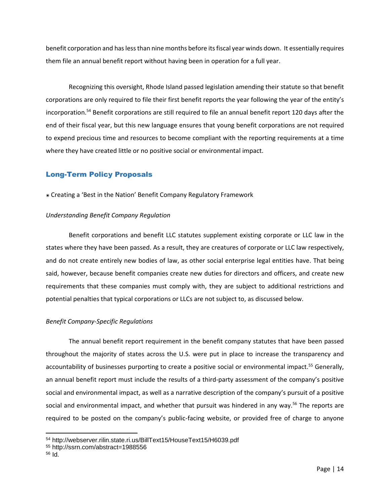benefit corporation and has less than nine months before its fiscal year winds down. It essentially requires them file an annual benefit report without having been in operation for a full year.

Recognizing this oversight, Rhode Island passed legislation amending their statute so that benefit corporations are only required to file their first benefit reports the year following the year of the entity's incorporation. <sup>54</sup> Benefit corporations are still required to file an annual benefit report 120 days after the end of their fiscal year, but this new language ensures that young benefit corporations are not required to expend precious time and resources to become compliant with the reporting requirements at a time where they have created little or no positive social or environmental impact.

# Long-Term Policy Proposals

๏ Creating a 'Best in the Nation' Benefit Company Regulatory Framework

### *Understanding Benefit Company Regulation*

Benefit corporations and benefit LLC statutes supplement existing corporate or LLC law in the states where they have been passed. As a result, they are creatures of corporate or LLC law respectively, and do not create entirely new bodies of law, as other social enterprise legal entities have. That being said, however, because benefit companies create new duties for directors and officers, and create new requirements that these companies must comply with, they are subject to additional restrictions and potential penalties that typical corporations or LLCs are not subject to, as discussed below.

### *Benefit Company-Specific Regulations*

The annual benefit report requirement in the benefit company statutes that have been passed throughout the majority of states across the U.S. were put in place to increase the transparency and accountability of businesses purporting to create a positive social or environmental impact.<sup>55</sup> Generally, an annual benefit report must include the results of a third-party assessment of the company's positive social and environmental impact, as well as a narrative description of the company's pursuit of a positive social and environmental impact, and whether that pursuit was hindered in any way.<sup>56</sup> The reports are required to be posted on the company's public-facing website, or provided free of charge to anyone

 $\overline{a}$ 

<sup>54</sup> http://webserver.rilin.state.ri.us/BillText15/HouseText15/H6039.pdf

<sup>55</sup> http://ssrn.com/abstract=1988556

<sup>56</sup> Id.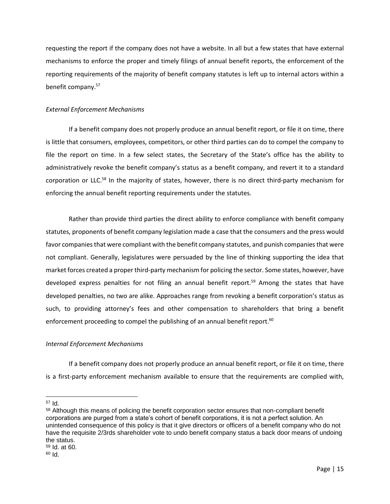requesting the report if the company does not have a website. In all but a few states that have external mechanisms to enforce the proper and timely filings of annual benefit reports, the enforcement of the reporting requirements of the majority of benefit company statutes is left up to internal actors within a benefit company.<sup>57</sup>

#### *External Enforcement Mechanisms*

If a benefit company does not properly produce an annual benefit report, or file it on time, there is little that consumers, employees, competitors, or other third parties can do to compel the company to file the report on time. In a few select states, the Secretary of the State's office has the ability to administratively revoke the benefit company's status as a benefit company, and revert it to a standard corporation or LLC.<sup>58</sup> In the majority of states, however, there is no direct third-party mechanism for enforcing the annual benefit reporting requirements under the statutes.

Rather than provide third parties the direct ability to enforce compliance with benefit company statutes, proponents of benefit company legislation made a case that the consumers and the press would favor companies that were compliant with the benefit company statutes, and punish companies that were not compliant. Generally, legislatures were persuaded by the line of thinking supporting the idea that market forces created a proper third-party mechanism for policing the sector. Some states, however, have developed express penalties for not filing an annual benefit report.<sup>59</sup> Among the states that have developed penalties, no two are alike. Approaches range from revoking a benefit corporation's status as such, to providing attorney's fees and other compensation to shareholders that bring a benefit enforcement proceeding to compel the publishing of an annual benefit report.<sup>60</sup>

### *Internal Enforcement Mechanisms*

If a benefit company does not properly produce an annual benefit report, or file it on time, there is a first-party enforcement mechanism available to ensure that the requirements are complied with,

 <sup>57</sup> Id.

<sup>&</sup>lt;sup>58</sup> Although this means of policing the benefit corporation sector ensures that non-compliant benefit corporations are purged from a state's cohort of benefit corporations, it is not a perfect solution. An unintended consequence of this policy is that it give directors or officers of a benefit company who do not have the requisite 2/3rds shareholder vote to undo benefit company status a back door means of undoing the status.

<sup>59</sup> Id. at 60.

 $60$  Id.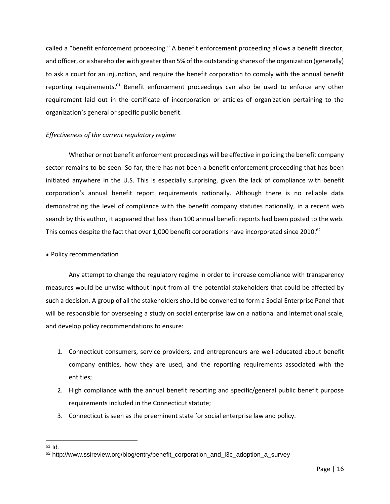called a "benefit enforcement proceeding." A benefit enforcement proceeding allows a benefit director, and officer, or a shareholder with greater than 5% of the outstanding shares of the organization (generally) to ask a court for an injunction, and require the benefit corporation to comply with the annual benefit reporting requirements.<sup>61</sup> Benefit enforcement proceedings can also be used to enforce any other requirement laid out in the certificate of incorporation or articles of organization pertaining to the organization's general or specific public benefit.

## *Effectiveness of the current regulatory regime*

Whether or not benefit enforcement proceedings will be effective in policing the benefit company sector remains to be seen. So far, there has not been a benefit enforcement proceeding that has been initiated anywhere in the U.S. This is especially surprising, given the lack of compliance with benefit corporation's annual benefit report requirements nationally. Although there is no reliable data demonstrating the level of compliance with the benefit company statutes nationally, in a recent web search by this author, it appeared that less than 100 annual benefit reports had been posted to the web. This comes despite the fact that over 1,000 benefit corporations have incorporated since 2010.<sup>62</sup>

### ๏ Policy recommendation

Any attempt to change the regulatory regime in order to increase compliance with transparency measures would be unwise without input from all the potential stakeholders that could be affected by such a decision. A group of all the stakeholders should be convened to form a Social Enterprise Panel that will be responsible for overseeing a study on social enterprise law on a national and international scale, and develop policy recommendations to ensure:

- 1. Connecticut consumers, service providers, and entrepreneurs are well-educated about benefit company entities, how they are used, and the reporting requirements associated with the entities;
- 2. High compliance with the annual benefit reporting and specific/general public benefit purpose requirements included in the Connecticut statute;
- 3. Connecticut is seen as the preeminent state for social enterprise law and policy.

 $61$  Id.

<sup>62</sup> http://www.ssireview.org/blog/entry/benefit\_corporation\_and\_l3c\_adoption\_a\_survey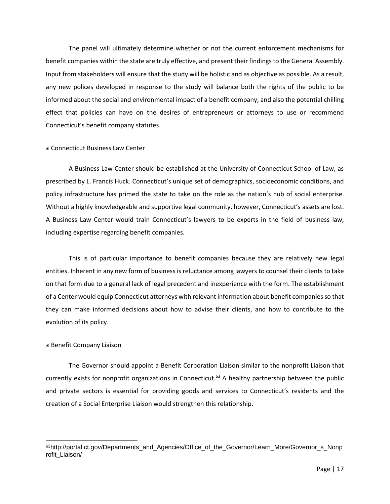The panel will ultimately determine whether or not the current enforcement mechanisms for benefit companies within the state are truly effective, and present their findings to the General Assembly. Input from stakeholders will ensure that the study will be holistic and as objective as possible. As a result, any new polices developed in response to the study will balance both the rights of the public to be informed about the social and environmental impact of a benefit company, and also the potential chilling effect that policies can have on the desires of entrepreneurs or attorneys to use or recommend Connecticut's benefit company statutes.

#### ๏ Connecticut Business Law Center

A Business Law Center should be established at the University of Connecticut School of Law, as prescribed by L. Francis Huck. Connecticut's unique set of demographics, socioeconomic conditions, and policy infrastructure has primed the state to take on the role as the nation's hub of social enterprise. Without a highly knowledgeable and supportive legal community, however, Connecticut's assets are lost. A Business Law Center would train Connecticut's lawyers to be experts in the field of business law, including expertise regarding benefit companies.

This is of particular importance to benefit companies because they are relatively new legal entities. Inherent in any new form of business is reluctance among lawyers to counsel their clients to take on that form due to a general lack of legal precedent and inexperience with the form. The establishment of a Center would equip Connecticut attorneys with relevant information about benefit companies so that they can make informed decisions about how to advise their clients, and how to contribute to the evolution of its policy.

#### ๏ Benefit Company Liaison

The Governor should appoint a Benefit Corporation Liaison similar to the nonprofit Liaison that currently exists for nonprofit organizations in Connecticut. <sup>63</sup> A healthy partnership between the public and private sectors is essential for providing goods and services to Connecticut's residents and the creation of a Social Enterprise Liaison would strengthen this relationship.

<sup>63</sup>http://portal.ct.gov/Departments\_and\_Agencies/Office\_of\_the\_Governor/Learn\_More/Governor\_s\_Nonp rofit\_Liaison/